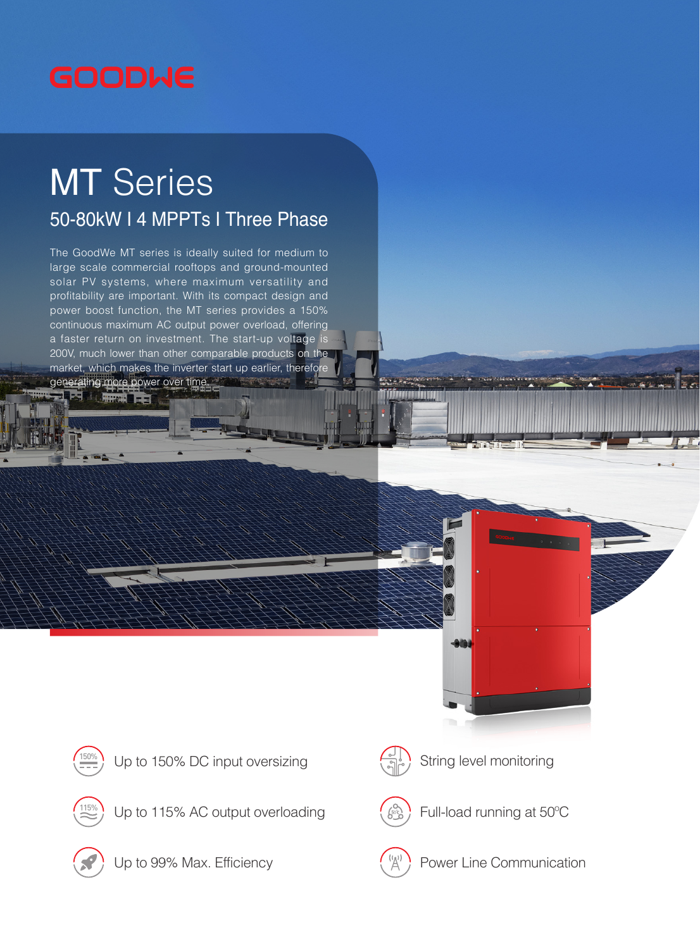

## **MT** Series

## 50-80kW I 4 MPPTs I Three Phase

The GoodWe MT series is ideally suited for medium to large scale commercial rooftops and ground-mounted solar PV systems, where maximum versatility and profitability are important. With its compact design and power boost function, the MT series provides a 150% continuous maximum AC output power overload, offering a faster return on investment. The start-up voltage is 200V, much lower than other comparable products on the market, which makes the inverter start up earlier, therefore generating more power over time. **As Mary Pro** 







Up to 115% AC output overloading  $\left(\begin{array}{c} \sqrt{2} \\ \sqrt{2} \end{array}\right)$  Full-load running at 50°C





T (Tafirman orang manang manang

String level monitoring



Up to 99% Max. Efficiency  $\begin{pmatrix} \binom{k(t)}{A} \\ 0 \end{pmatrix}$  Power Line Communication